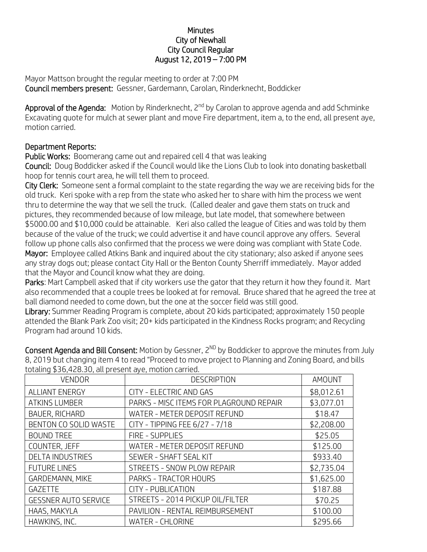## **Minutes** City of Newhall City Council Regular August 12, 2019 – 7:00 PM

Mayor Mattson brought the regular meeting to order at 7:00 PM Council members present: Gessner, Gardemann, Carolan, Rinderknecht, Boddicker

Approval of the Agenda: Motion by Rinderknecht, 2<sup>nd</sup> by Carolan to approve agenda and add Schminke Excavating quote for mulch at sewer plant and move Fire department, item a, to the end, all present aye, motion carried.

## Department Reports:

Public Works: Boomerang came out and repaired cell 4 that was leaking

Council: Doug Boddicker asked if the Council would like the Lions Club to look into donating basketball hoop for tennis court area, he will tell them to proceed.

City Clerk: Someone sent a formal complaint to the state regarding the way we are receiving bids for the old truck. Keri spoke with a rep from the state who asked her to share with him the process we went thru to determine the way that we sell the truck. (Called dealer and gave them stats on truck and pictures, they recommended because of low mileage, but late model, that somewhere between \$5000.00 and \$10,000 could be attainable. Keri also called the league of Cities and was told by them because of the value of the truck; we could advertise it and have council approve any offers. Several follow up phone calls also confirmed that the process we were doing was compliant with State Code. Mayor: Employee called Atkins Bank and inquired about the city stationary; also asked if anyone sees any stray dogs out; please contact City Hall or the Benton County Sherriff immediately. Mayor added that the Mayor and Council know what they are doing.

Parks: Mart Campbell asked that if city workers use the gator that they return it how they found it. Mart also recommended that a couple trees be looked at for removal. Bruce shared that he agreed the tree at ball diamond needed to come down, but the one at the soccer field was still good.

Library: Summer Reading Program is complete, about 20 kids participated; approximately 150 people attended the Blank Park Zoo visit; 20+ kids participated in the Kindness Rocks program; and Recycling Program had around 10 kids.

| totaling \$36,428.30, all present aye, motion carried. |                                         |               |  |
|--------------------------------------------------------|-----------------------------------------|---------------|--|
| <b>VENDOR</b>                                          | <b>DESCRIPTION</b>                      | <b>AMOUNT</b> |  |
| <b>ALLIANT ENERGY</b>                                  | CITY - ELECTRIC AND GAS                 | \$8,012.61    |  |
| <b>ATKINS LUMBER</b>                                   | PARKS - MISC ITEMS FOR PLAGROUND REPAIR | \$3,077.01    |  |
| BAUER, RICHARD                                         | WATER - METER DEPOSIT REFUND            | \$18.47       |  |
| BENTON CO SOLID WASTE                                  | CITY - TIPPING FEE 6/27 - 7/18          | \$2,208.00    |  |
| <b>BOUND TREE</b>                                      | <b>FIRE - SUPPLIES</b>                  | \$25.05       |  |
| COUNTER, JEFF                                          | WATER - METER DEPOSIT REFUND            | \$125.00      |  |
| <b>DELTA INDUSTRIES</b>                                | SEWER - SHAFT SEAL KIT                  | \$933.40      |  |
| <b>FUTURE LINES</b>                                    | <b>STREETS - SNOW PLOW REPAIR</b>       | \$2,735.04    |  |
| GARDEMANN, MIKE                                        | PARKS - TRACTOR HOURS                   | \$1,625.00    |  |
| <b>GAZETTE</b>                                         | CITY - PUBLICATION                      | \$187.88      |  |
| <b>GESSNER AUTO SERVICE</b>                            | STREETS - 2014 PICKUP OIL/FILTER        | \$70.25       |  |
| HAAS, MAKYLA                                           | PAVILION - RENTAL REIMBURSEMENT         | \$100.00      |  |
| HAWKINS, INC.                                          | <b>WATER - CHLORINE</b>                 | \$295.66      |  |

Consent Agenda and Bill Consent: Motion by Gessner,  $2^{ND}$  by Boddicker to approve the minutes from July 8, 2019 but changing item 4 to read "Proceed to move project to Planning and Zoning Board, and bills totaling \$36,428.30, all present aye, motion carried.